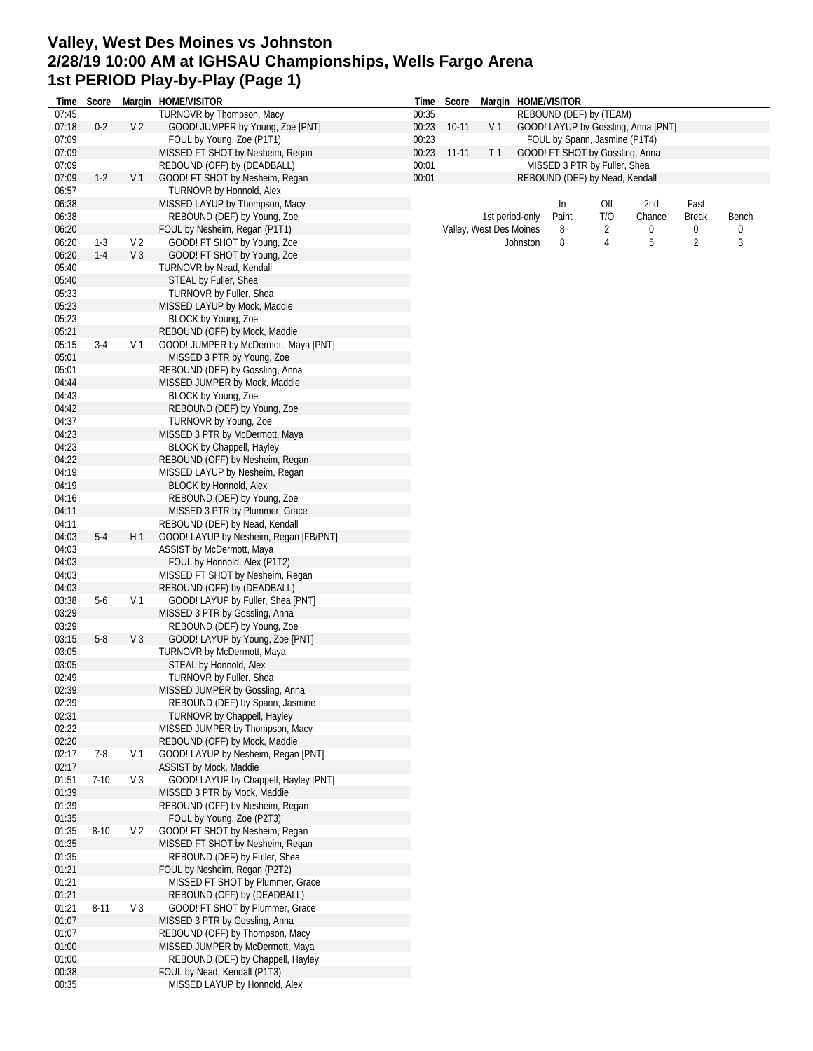# **Valley, West Des Moines vs Johnston 2/28/19 10:00 AM at IGHSAU Championships, Wells Fargo Arena 1st PERIOD Play-by-Play (Page 1)**

| Time           | Score    |                | Margin HOME/VISITOR                                                |       | Time Score  |                         |          | Margin HOME/VISITOR                 |        |        |              |                       |  |  |  |
|----------------|----------|----------------|--------------------------------------------------------------------|-------|-------------|-------------------------|----------|-------------------------------------|--------|--------|--------------|-----------------------|--|--|--|
| 07:45          |          |                | TURNOVR by Thompson, Macy                                          | 00:35 |             |                         |          | REBOUND (DEF) by (TEAM)             |        |        |              |                       |  |  |  |
| 07:18          | $0 - 2$  | V <sub>2</sub> | GOOD! JUMPER by Young, Zoe [PNT]                                   |       | 00:23 10-11 | V <sub>1</sub>          |          | GOOD! LAYUP by Gossling, Anna [PNT] |        |        |              |                       |  |  |  |
| 07:09          |          |                | FOUL by Young, Zoe (P1T1)                                          | 00:23 |             |                         |          | FOUL by Spann, Jasmine (P1T4)       |        |        |              |                       |  |  |  |
| 07:09          |          |                | MISSED FT SHOT by Nesheim, Regan                                   | 00:23 | $11-11$     | T <sub>1</sub>          |          | GOOD! FT SHOT by Gossling, Anna     |        |        |              |                       |  |  |  |
| 07:09          |          |                | REBOUND (OFF) by (DEADBALL)                                        | 00:01 |             |                         |          | MISSED 3 PTR by Fuller, Shea        |        |        |              |                       |  |  |  |
| 07:09          | $1-2$    | V <sub>1</sub> | GOOD! FT SHOT by Nesheim, Regan                                    | 00:01 |             |                         |          | REBOUND (DEF) by Nead, Kendall      |        |        |              |                       |  |  |  |
| 06:57          |          |                | TURNOVR by Honnold, Alex                                           |       |             |                         |          |                                     |        |        |              |                       |  |  |  |
| 06:38          |          |                | MISSED LAYUP by Thompson, Macy                                     |       |             |                         |          | In                                  | Off    | 2nd    | Fast         |                       |  |  |  |
| 06:38<br>06:20 |          |                | REBOUND (DEF) by Young, Zoe                                        |       |             | 1st period-only         |          | Paint<br>8                          | T/O    | Chance | <b>Break</b> | Bench<br>$\mathbf{0}$ |  |  |  |
| 06:20          | $1-3$    | V <sub>2</sub> | FOUL by Nesheim, Regan (P1T1)<br>GOOD! FT SHOT by Young, Zoe       |       |             | Valley, West Des Moines | Johnston | 8                                   | 2<br>4 | 0<br>5 | 0<br>2       | 3                     |  |  |  |
| 06:20          | $1-4$    | V <sub>3</sub> | GOOD! FT SHOT by Young, Zoe                                        |       |             |                         |          |                                     |        |        |              |                       |  |  |  |
| 05:40          |          |                | TURNOVR by Nead, Kendall                                           |       |             |                         |          |                                     |        |        |              |                       |  |  |  |
| 05:40          |          |                | STEAL by Fuller, Shea                                              |       |             |                         |          |                                     |        |        |              |                       |  |  |  |
| 05:33          |          |                | TURNOVR by Fuller, Shea                                            |       |             |                         |          |                                     |        |        |              |                       |  |  |  |
| 05:23          |          |                | MISSED LAYUP by Mock, Maddie                                       |       |             |                         |          |                                     |        |        |              |                       |  |  |  |
| 05:23          |          |                | BLOCK by Young, Zoe                                                |       |             |                         |          |                                     |        |        |              |                       |  |  |  |
| 05:21          |          |                | REBOUND (OFF) by Mock, Maddie                                      |       |             |                         |          |                                     |        |        |              |                       |  |  |  |
| 05:15          | $3-4$    | V 1            | GOOD! JUMPER by McDermott, Maya [PNT]                              |       |             |                         |          |                                     |        |        |              |                       |  |  |  |
| 05:01          |          |                | MISSED 3 PTR by Young, Zoe                                         |       |             |                         |          |                                     |        |        |              |                       |  |  |  |
| 05:01          |          |                | REBOUND (DEF) by Gossling, Anna                                    |       |             |                         |          |                                     |        |        |              |                       |  |  |  |
| 04:44          |          |                | MISSED JUMPER by Mock, Maddie                                      |       |             |                         |          |                                     |        |        |              |                       |  |  |  |
| 04:43          |          |                | BLOCK by Young, Zoe                                                |       |             |                         |          |                                     |        |        |              |                       |  |  |  |
| 04:42          |          |                | REBOUND (DEF) by Young, Zoe                                        |       |             |                         |          |                                     |        |        |              |                       |  |  |  |
| 04:37          |          |                | TURNOVR by Young, Zoe                                              |       |             |                         |          |                                     |        |        |              |                       |  |  |  |
| 04:23          |          |                | MISSED 3 PTR by McDermott, Maya                                    |       |             |                         |          |                                     |        |        |              |                       |  |  |  |
| 04:23          |          |                | BLOCK by Chappell, Hayley                                          |       |             |                         |          |                                     |        |        |              |                       |  |  |  |
| 04:22          |          |                | REBOUND (OFF) by Nesheim, Regan                                    |       |             |                         |          |                                     |        |        |              |                       |  |  |  |
| 04:19          |          |                | MISSED LAYUP by Nesheim, Regan                                     |       |             |                         |          |                                     |        |        |              |                       |  |  |  |
| 04:19          |          |                | BLOCK by Honnold, Alex                                             |       |             |                         |          |                                     |        |        |              |                       |  |  |  |
| 04:16          |          |                | REBOUND (DEF) by Young, Zoe                                        |       |             |                         |          |                                     |        |        |              |                       |  |  |  |
| 04:11          |          |                | MISSED 3 PTR by Plummer, Grace                                     |       |             |                         |          |                                     |        |        |              |                       |  |  |  |
| 04:11          |          |                | REBOUND (DEF) by Nead, Kendall                                     |       |             |                         |          |                                     |        |        |              |                       |  |  |  |
| 04:03          | $5 - 4$  | H 1            | GOOD! LAYUP by Nesheim, Regan [FB/PNT]                             |       |             |                         |          |                                     |        |        |              |                       |  |  |  |
| 04:03          |          |                | ASSIST by McDermott, Maya                                          |       |             |                         |          |                                     |        |        |              |                       |  |  |  |
| 04:03          |          |                | FOUL by Honnold, Alex (P1T2)                                       |       |             |                         |          |                                     |        |        |              |                       |  |  |  |
| 04:03          |          |                | MISSED FT SHOT by Nesheim, Regan                                   |       |             |                         |          |                                     |        |        |              |                       |  |  |  |
| 04:03          |          |                | REBOUND (OFF) by (DEADBALL)                                        |       |             |                         |          |                                     |        |        |              |                       |  |  |  |
| 03:38          | $5-6$    | V <sub>1</sub> | GOOD! LAYUP by Fuller, Shea [PNT]                                  |       |             |                         |          |                                     |        |        |              |                       |  |  |  |
| 03:29          |          |                | MISSED 3 PTR by Gossling, Anna                                     |       |             |                         |          |                                     |        |        |              |                       |  |  |  |
| 03:29          |          |                | REBOUND (DEF) by Young, Zoe                                        |       |             |                         |          |                                     |        |        |              |                       |  |  |  |
| 03:15          | $5-8$    | V <sub>3</sub> | GOOD! LAYUP by Young, Zoe [PNT]                                    |       |             |                         |          |                                     |        |        |              |                       |  |  |  |
| 03:05          |          |                | TURNOVR by McDermott, Maya                                         |       |             |                         |          |                                     |        |        |              |                       |  |  |  |
| 03:05          |          |                | STEAL by Honnold, Alex                                             |       |             |                         |          |                                     |        |        |              |                       |  |  |  |
| 02:49          |          |                | TURNOVR by Fuller, Shea                                            |       |             |                         |          |                                     |        |        |              |                       |  |  |  |
| 02:39<br>02:39 |          |                | MISSED JUMPER by Gossling, Anna<br>REBOUND (DEF) by Spann, Jasmine |       |             |                         |          |                                     |        |        |              |                       |  |  |  |
| 02:31          |          |                | TURNOVR by Chappell, Hayley                                        |       |             |                         |          |                                     |        |        |              |                       |  |  |  |
| 02:22          |          |                | MISSED JUMPER by Thompson, Macy                                    |       |             |                         |          |                                     |        |        |              |                       |  |  |  |
| 02:20          |          |                | REBOUND (OFF) by Mock, Maddie                                      |       |             |                         |          |                                     |        |        |              |                       |  |  |  |
| 02:17          | $7-8$    | V 1            | GOOD! LAYUP by Nesheim, Regan [PNT]                                |       |             |                         |          |                                     |        |        |              |                       |  |  |  |
| 02:17          |          |                | ASSIST by Mock, Maddie                                             |       |             |                         |          |                                     |        |        |              |                       |  |  |  |
| 01:51          | $7-10$   | V <sub>3</sub> | GOOD! LAYUP by Chappell, Hayley [PNT]                              |       |             |                         |          |                                     |        |        |              |                       |  |  |  |
| 01:39          |          |                | MISSED 3 PTR by Mock, Maddie                                       |       |             |                         |          |                                     |        |        |              |                       |  |  |  |
| 01:39          |          |                | REBOUND (OFF) by Nesheim, Regan                                    |       |             |                         |          |                                     |        |        |              |                       |  |  |  |
| 01:35          |          |                | FOUL by Young, Zoe (P2T3)                                          |       |             |                         |          |                                     |        |        |              |                       |  |  |  |
| 01:35          | $8 - 10$ | V 2            | GOOD! FT SHOT by Nesheim, Regan                                    |       |             |                         |          |                                     |        |        |              |                       |  |  |  |
| 01:35          |          |                | MISSED FT SHOT by Nesheim, Regan                                   |       |             |                         |          |                                     |        |        |              |                       |  |  |  |
| 01:35          |          |                | REBOUND (DEF) by Fuller, Shea                                      |       |             |                         |          |                                     |        |        |              |                       |  |  |  |
| 01:21          |          |                | FOUL by Nesheim, Regan (P2T2)                                      |       |             |                         |          |                                     |        |        |              |                       |  |  |  |
| 01:21          |          |                | MISSED FT SHOT by Plummer, Grace                                   |       |             |                         |          |                                     |        |        |              |                       |  |  |  |
| 01:21          |          |                | REBOUND (OFF) by (DEADBALL)                                        |       |             |                         |          |                                     |        |        |              |                       |  |  |  |
| 01:21          | $8 - 11$ | V <sub>3</sub> | GOOD! FT SHOT by Plummer, Grace                                    |       |             |                         |          |                                     |        |        |              |                       |  |  |  |
| 01:07          |          |                | MISSED 3 PTR by Gossling, Anna                                     |       |             |                         |          |                                     |        |        |              |                       |  |  |  |
| 01:07          |          |                | REBOUND (OFF) by Thompson, Macy                                    |       |             |                         |          |                                     |        |        |              |                       |  |  |  |
| 01:00          |          |                | MISSED JUMPER by McDermott, Maya                                   |       |             |                         |          |                                     |        |        |              |                       |  |  |  |
| 01:00          |          |                | REBOUND (DEF) by Chappell, Hayley                                  |       |             |                         |          |                                     |        |        |              |                       |  |  |  |
| 00:38          |          |                | FOUL by Nead, Kendall (P1T3)                                       |       |             |                         |          |                                     |        |        |              |                       |  |  |  |
| 00:35          |          |                | MISSED LAYUP by Honnold, Alex                                      |       |             |                         |          |                                     |        |        |              |                       |  |  |  |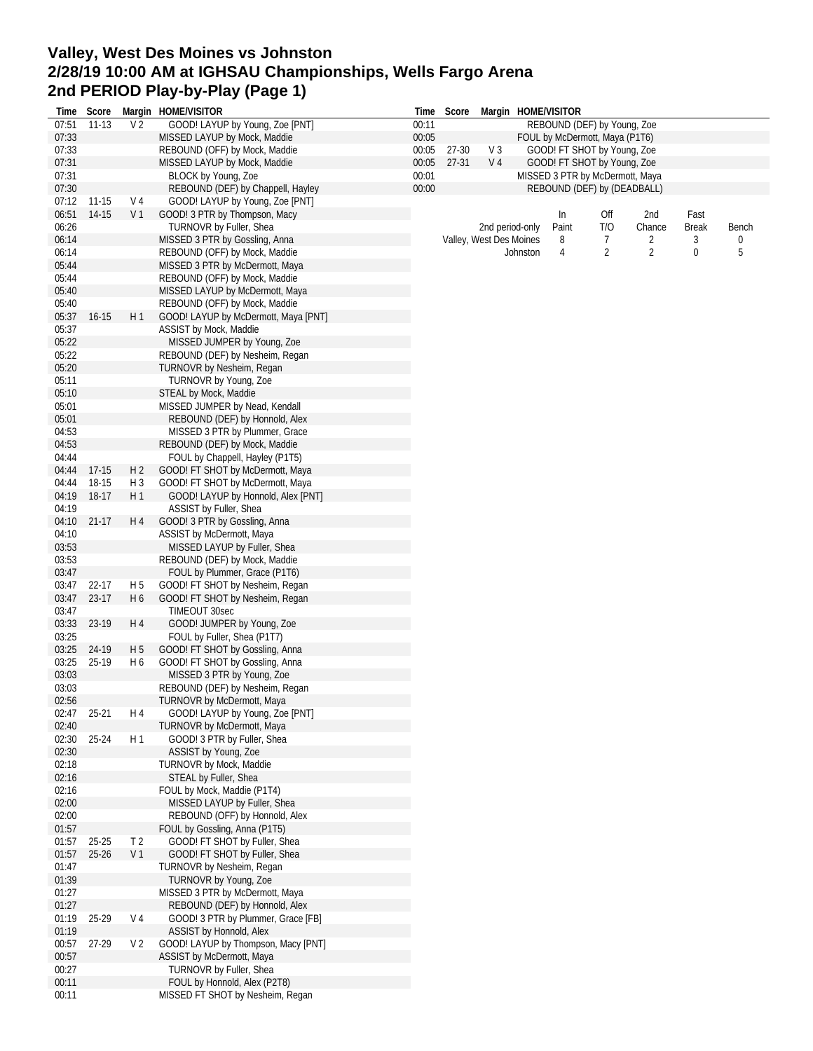# **Valley, West Des Moines vs Johnston 2/28/19 10:00 AM at IGHSAU Championships, Wells Fargo Arena 2nd PERIOD Play-by-Play (Page 1)**

| Time  | Score       |                | Margin HOME/VISITOR                  | Time  | Score     |                         |          | Margin HOME/VISITOR             |                |                |              |       |
|-------|-------------|----------------|--------------------------------------|-------|-----------|-------------------------|----------|---------------------------------|----------------|----------------|--------------|-------|
| 07:51 | $11 - 13$   | V <sub>2</sub> | GOOD! LAYUP by Young, Zoe [PNT]      | 00:11 |           |                         |          | REBOUND (DEF) by Young, Zoe     |                |                |              |       |
| 07:33 |             |                | MISSED LAYUP by Mock, Maddie         | 00:05 |           |                         |          | FOUL by McDermott, Maya (P1T6)  |                |                |              |       |
| 07:33 |             |                | REBOUND (OFF) by Mock, Maddie        | 00:05 | 27-30     | V3                      |          | GOOD! FT SHOT by Young, Zoe     |                |                |              |       |
| 07:31 |             |                | MISSED LAYUP by Mock, Maddie         | 00:05 | $27 - 31$ | V <sub>4</sub>          |          | GOOD! FT SHOT by Young, Zoe     |                |                |              |       |
| 07:31 |             |                | BLOCK by Young, Zoe                  | 00:01 |           |                         |          | MISSED 3 PTR by McDermott, Maya |                |                |              |       |
| 07:30 |             |                | REBOUND (DEF) by Chappell, Hayley    | 00:00 |           |                         |          | REBOUND (DEF) by (DEADBALL)     |                |                |              |       |
| 07:12 | 11-15       | V 4            | GOOD! LAYUP by Young, Zoe [PNT]      |       |           |                         |          |                                 |                |                |              |       |
| 06:51 | 14-15       | V <sub>1</sub> | GOOD! 3 PTR by Thompson, Macy        |       |           |                         |          | In                              | Off            | 2nd            | Fast         |       |
| 06:26 |             |                | TURNOVR by Fuller, Shea              |       |           | 2nd period-only         |          | Paint                           | T/O            | Chance         | <b>Break</b> | Bench |
| 06:14 |             |                | MISSED 3 PTR by Gossling, Anna       |       |           | Valley, West Des Moines |          | 8                               | $\overline{7}$ | 2              | 3            | 0     |
| 06:14 |             |                | REBOUND (OFF) by Mock, Maddie        |       |           |                         | Johnston | 4                               | $\overline{2}$ | $\overline{2}$ | 0            | 5     |
| 05:44 |             |                | MISSED 3 PTR by McDermott, Maya      |       |           |                         |          |                                 |                |                |              |       |
| 05:44 |             |                | REBOUND (OFF) by Mock, Maddie        |       |           |                         |          |                                 |                |                |              |       |
| 05:40 |             |                | MISSED LAYUP by McDermott, Maya      |       |           |                         |          |                                 |                |                |              |       |
| 05:40 |             |                | REBOUND (OFF) by Mock, Maddie        |       |           |                         |          |                                 |                |                |              |       |
| 05:37 | $16 - 15$   | H 1            | GOOD! LAYUP by McDermott, Maya [PNT] |       |           |                         |          |                                 |                |                |              |       |
| 05:37 |             |                | ASSIST by Mock, Maddie               |       |           |                         |          |                                 |                |                |              |       |
| 05:22 |             |                | MISSED JUMPER by Young, Zoe          |       |           |                         |          |                                 |                |                |              |       |
| 05:22 |             |                | REBOUND (DEF) by Nesheim, Regan      |       |           |                         |          |                                 |                |                |              |       |
| 05:20 |             |                | TURNOVR by Nesheim, Regan            |       |           |                         |          |                                 |                |                |              |       |
| 05:11 |             |                | TURNOVR by Young, Zoe                |       |           |                         |          |                                 |                |                |              |       |
| 05:10 |             |                | STEAL by Mock, Maddie                |       |           |                         |          |                                 |                |                |              |       |
| 05:01 |             |                | MISSED JUMPER by Nead, Kendall       |       |           |                         |          |                                 |                |                |              |       |
| 05:01 |             |                | REBOUND (DEF) by Honnold, Alex       |       |           |                         |          |                                 |                |                |              |       |
| 04:53 |             |                | MISSED 3 PTR by Plummer, Grace       |       |           |                         |          |                                 |                |                |              |       |
| 04:53 |             |                | REBOUND (DEF) by Mock, Maddie        |       |           |                         |          |                                 |                |                |              |       |
| 04:44 |             |                | FOUL by Chappell, Hayley (P1T5)      |       |           |                         |          |                                 |                |                |              |       |
| 04:44 | 17-15       | H <sub>2</sub> | GOOD! FT SHOT by McDermott, Maya     |       |           |                         |          |                                 |                |                |              |       |
| 04:44 | 18-15       | $H_3$          | GOOD! FT SHOT by McDermott, Maya     |       |           |                         |          |                                 |                |                |              |       |
| 04:19 | 18-17       | H1             | GOOD! LAYUP by Honnold, Alex [PNT]   |       |           |                         |          |                                 |                |                |              |       |
| 04:19 |             |                | ASSIST by Fuller, Shea               |       |           |                         |          |                                 |                |                |              |       |
| 04:10 | $21-17$     | H 4            | GOOD! 3 PTR by Gossling, Anna        |       |           |                         |          |                                 |                |                |              |       |
| 04:10 |             |                | ASSIST by McDermott, Maya            |       |           |                         |          |                                 |                |                |              |       |
| 03:53 |             |                | MISSED LAYUP by Fuller, Shea         |       |           |                         |          |                                 |                |                |              |       |
| 03:53 |             |                | REBOUND (DEF) by Mock, Maddie        |       |           |                         |          |                                 |                |                |              |       |
| 03:47 |             |                | FOUL by Plummer, Grace (P1T6)        |       |           |                         |          |                                 |                |                |              |       |
| 03:47 | 22-17       | H <sub>5</sub> | GOOD! FT SHOT by Nesheim, Regan      |       |           |                         |          |                                 |                |                |              |       |
| 03:47 | 23-17       | H <sub>6</sub> | GOOD! FT SHOT by Nesheim, Regan      |       |           |                         |          |                                 |                |                |              |       |
| 03:47 |             |                | TIMEOUT 30sec                        |       |           |                         |          |                                 |                |                |              |       |
|       | 03:33 23-19 | H 4            | GOOD! JUMPER by Young, Zoe           |       |           |                         |          |                                 |                |                |              |       |
| 03:25 |             |                | FOUL by Fuller, Shea (P1T7)          |       |           |                         |          |                                 |                |                |              |       |
| 03:25 | 24-19       | H <sub>5</sub> | GOOD! FT SHOT by Gossling, Anna      |       |           |                         |          |                                 |                |                |              |       |
| 03:25 | 25-19       | H 6            | GOOD! FT SHOT by Gossling, Anna      |       |           |                         |          |                                 |                |                |              |       |
| 03:03 |             |                | MISSED 3 PTR by Young, Zoe           |       |           |                         |          |                                 |                |                |              |       |
| 03:03 |             |                | REBOUND (DEF) by Nesheim, Regan      |       |           |                         |          |                                 |                |                |              |       |
| 02:56 |             |                | TURNOVR by McDermott, Maya           |       |           |                         |          |                                 |                |                |              |       |
| 02:47 | $25 - 21$   | H 4            | GOOD! LAYUP by Young, Zoe [PNT]      |       |           |                         |          |                                 |                |                |              |       |
| 02:40 |             |                | TURNOVR by McDermott, Maya           |       |           |                         |          |                                 |                |                |              |       |
| 02:30 | 25-24       | H 1            | GOOD! 3 PTR by Fuller, Shea          |       |           |                         |          |                                 |                |                |              |       |
| 02:30 |             |                | ASSIST by Young, Zoe                 |       |           |                         |          |                                 |                |                |              |       |
| 02:18 |             |                | TURNOVR by Mock, Maddie              |       |           |                         |          |                                 |                |                |              |       |
| 02:16 |             |                | STEAL by Fuller, Shea                |       |           |                         |          |                                 |                |                |              |       |
| 02:16 |             |                | FOUL by Mock, Maddie (P1T4)          |       |           |                         |          |                                 |                |                |              |       |
| 02:00 |             |                | MISSED LAYUP by Fuller, Shea         |       |           |                         |          |                                 |                |                |              |       |
| 02:00 |             |                | REBOUND (OFF) by Honnold, Alex       |       |           |                         |          |                                 |                |                |              |       |
| 01:57 |             |                | FOUL by Gossling, Anna (P1T5)        |       |           |                         |          |                                 |                |                |              |       |
| 01:57 | 25-25       | T <sub>2</sub> | GOOD! FT SHOT by Fuller, Shea        |       |           |                         |          |                                 |                |                |              |       |
| 01:57 | $25 - 26$   | V <sub>1</sub> | GOOD! FT SHOT by Fuller, Shea        |       |           |                         |          |                                 |                |                |              |       |
| 01:47 |             |                | TURNOVR by Nesheim, Regan            |       |           |                         |          |                                 |                |                |              |       |
| 01:39 |             |                | TURNOVR by Young, Zoe                |       |           |                         |          |                                 |                |                |              |       |
| 01:27 |             |                | MISSED 3 PTR by McDermott, Maya      |       |           |                         |          |                                 |                |                |              |       |
| 01:27 |             |                | REBOUND (DEF) by Honnold, Alex       |       |           |                         |          |                                 |                |                |              |       |
| 01:19 | 25-29       | V 4            | GOOD! 3 PTR by Plummer, Grace [FB]   |       |           |                         |          |                                 |                |                |              |       |
| 01:19 |             |                | ASSIST by Honnold, Alex              |       |           |                         |          |                                 |                |                |              |       |
| 00:57 | 27-29       | V <sub>2</sub> | GOOD! LAYUP by Thompson, Macy [PNT]  |       |           |                         |          |                                 |                |                |              |       |
| 00:57 |             |                | ASSIST by McDermott, Maya            |       |           |                         |          |                                 |                |                |              |       |
| 00:27 |             |                | TURNOVR by Fuller, Shea              |       |           |                         |          |                                 |                |                |              |       |
| 00:11 |             |                | FOUL by Honnold, Alex (P2T8)         |       |           |                         |          |                                 |                |                |              |       |
| 00:11 |             |                | MISSED FT SHOT by Nesheim, Regan     |       |           |                         |          |                                 |                |                |              |       |
|       |             |                |                                      |       |           |                         |          |                                 |                |                |              |       |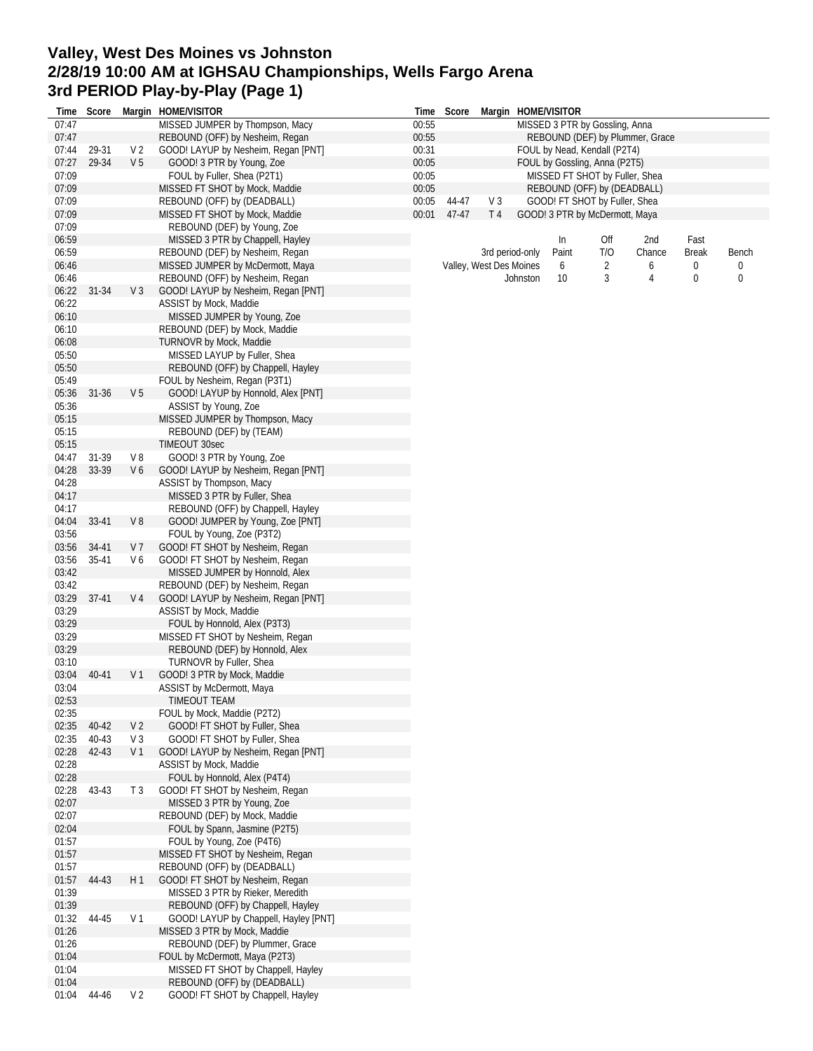# **Valley, West Des Moines vs Johnston 2/28/19 10:00 AM at IGHSAU Championships, Wells Fargo Arena 3rd PERIOD Play-by-Play (Page 1)**

|                | Time Score |                | Margin HOME/VISITOR                                                   |                | Time Score |                         |                 | Margin HOME/VISITOR                                             |     |                                 |              |                  |
|----------------|------------|----------------|-----------------------------------------------------------------------|----------------|------------|-------------------------|-----------------|-----------------------------------------------------------------|-----|---------------------------------|--------------|------------------|
| 07:47          |            |                | MISSED JUMPER by Thompson, Macy                                       | 00:55          |            |                         |                 | MISSED 3 PTR by Gossling, Anna                                  |     |                                 |              |                  |
| 07:47          |            |                | REBOUND (OFF) by Nesheim, Regan                                       | 00:55          |            |                         |                 |                                                                 |     | REBOUND (DEF) by Plummer, Grace |              |                  |
| 07:44          | 29-31      | V <sub>2</sub> | GOOD! LAYUP by Nesheim, Regan [PNT]                                   | 00:31          |            |                         |                 | FOUL by Nead, Kendall (P2T4)                                    |     |                                 |              |                  |
| 07:27<br>07:09 | 29-34      | V <sub>5</sub> | GOOD! 3 PTR by Young, Zoe<br>FOUL by Fuller, Shea (P2T1)              | 00:05<br>00:05 |            |                         |                 | FOUL by Gossling, Anna (P2T5)<br>MISSED FT SHOT by Fuller, Shea |     |                                 |              |                  |
| 07:09          |            |                | MISSED FT SHOT by Mock, Maddie                                        | 00:05          |            |                         |                 | REBOUND (OFF) by (DEADBALL)                                     |     |                                 |              |                  |
| 07:09          |            |                | REBOUND (OFF) by (DEADBALL)                                           | 00:05          | 44-47      | V <sub>3</sub>          |                 | GOOD! FT SHOT by Fuller, Shea                                   |     |                                 |              |                  |
| 07:09          |            |                | MISSED FT SHOT by Mock, Maddie                                        | 00:01          | 47-47      | T <sub>4</sub>          |                 | GOOD! 3 PTR by McDermott, Maya                                  |     |                                 |              |                  |
| 07:09          |            |                | REBOUND (DEF) by Young, Zoe                                           |                |            |                         |                 |                                                                 |     |                                 |              |                  |
| 06:59          |            |                | MISSED 3 PTR by Chappell, Hayley                                      |                |            |                         |                 | $\ln$                                                           | Off | 2nd                             | Fast         |                  |
| 06:59          |            |                | REBOUND (DEF) by Nesheim, Regan                                       |                |            |                         | 3rd period-only | Paint                                                           | T/O | Chance                          | <b>Break</b> | Bench            |
| 06:46          |            |                | MISSED JUMPER by McDermott, Maya                                      |                |            | Valley, West Des Moines |                 | 6                                                               | 2   | 6                               | 0            | 0                |
| 06:46          |            |                | REBOUND (OFF) by Nesheim, Regan                                       |                |            |                         | Johnston        | 10                                                              | 3   | $\overline{4}$                  | 0            | $\boldsymbol{0}$ |
| 06:22<br>06:22 | 31-34      | $V_3$          | GOOD! LAYUP by Nesheim, Regan [PNT]<br>ASSIST by Mock, Maddie         |                |            |                         |                 |                                                                 |     |                                 |              |                  |
| 06:10          |            |                | MISSED JUMPER by Young, Zoe                                           |                |            |                         |                 |                                                                 |     |                                 |              |                  |
| 06:10          |            |                | REBOUND (DEF) by Mock, Maddie                                         |                |            |                         |                 |                                                                 |     |                                 |              |                  |
| 06:08          |            |                | TURNOVR by Mock, Maddie                                               |                |            |                         |                 |                                                                 |     |                                 |              |                  |
| 05:50          |            |                | MISSED LAYUP by Fuller, Shea                                          |                |            |                         |                 |                                                                 |     |                                 |              |                  |
| 05:50          |            |                | REBOUND (OFF) by Chappell, Hayley                                     |                |            |                         |                 |                                                                 |     |                                 |              |                  |
| 05:49          |            |                | FOUL by Nesheim, Regan (P3T1)                                         |                |            |                         |                 |                                                                 |     |                                 |              |                  |
| 05:36          | $31 - 36$  | V <sub>5</sub> | GOOD! LAYUP by Honnold, Alex [PNT]                                    |                |            |                         |                 |                                                                 |     |                                 |              |                  |
| 05:36          |            |                | ASSIST by Young, Zoe                                                  |                |            |                         |                 |                                                                 |     |                                 |              |                  |
| 05:15<br>05:15 |            |                | MISSED JUMPER by Thompson, Macy<br>REBOUND (DEF) by (TEAM)            |                |            |                         |                 |                                                                 |     |                                 |              |                  |
| 05:15          |            |                | TIMEOUT 30sec                                                         |                |            |                         |                 |                                                                 |     |                                 |              |                  |
| 04:47          | 31-39      | V8             | GOOD! 3 PTR by Young, Zoe                                             |                |            |                         |                 |                                                                 |     |                                 |              |                  |
| 04:28          | 33-39      | V6             | GOOD! LAYUP by Nesheim, Regan [PNT]                                   |                |            |                         |                 |                                                                 |     |                                 |              |                  |
| 04:28          |            |                | ASSIST by Thompson, Macy                                              |                |            |                         |                 |                                                                 |     |                                 |              |                  |
| 04:17          |            |                | MISSED 3 PTR by Fuller, Shea                                          |                |            |                         |                 |                                                                 |     |                                 |              |                  |
| 04:17          |            |                | REBOUND (OFF) by Chappell, Hayley                                     |                |            |                         |                 |                                                                 |     |                                 |              |                  |
| 04:04          | 33-41      | $V_8$          | GOOD! JUMPER by Young, Zoe [PNT]                                      |                |            |                         |                 |                                                                 |     |                                 |              |                  |
| 03:56<br>03:56 | 34-41      | V <sub>7</sub> | FOUL by Young, Zoe (P3T2)<br>GOOD! FT SHOT by Nesheim, Regan          |                |            |                         |                 |                                                                 |     |                                 |              |                  |
| 03:56          | 35-41      | V6             | GOOD! FT SHOT by Nesheim, Regan                                       |                |            |                         |                 |                                                                 |     |                                 |              |                  |
| 03:42          |            |                | MISSED JUMPER by Honnold, Alex                                        |                |            |                         |                 |                                                                 |     |                                 |              |                  |
| 03:42          |            |                | REBOUND (DEF) by Nesheim, Regan                                       |                |            |                         |                 |                                                                 |     |                                 |              |                  |
| 03:29          | $37-41$    | V 4            | GOOD! LAYUP by Nesheim, Regan [PNT]                                   |                |            |                         |                 |                                                                 |     |                                 |              |                  |
| 03:29          |            |                | ASSIST by Mock, Maddie                                                |                |            |                         |                 |                                                                 |     |                                 |              |                  |
| 03:29          |            |                | FOUL by Honnold, Alex (P3T3)                                          |                |            |                         |                 |                                                                 |     |                                 |              |                  |
| 03:29          |            |                | MISSED FT SHOT by Nesheim, Regan                                      |                |            |                         |                 |                                                                 |     |                                 |              |                  |
| 03:29<br>03:10 |            |                | REBOUND (DEF) by Honnold, Alex<br>TURNOVR by Fuller, Shea             |                |            |                         |                 |                                                                 |     |                                 |              |                  |
| 03:04          | 40-41      | V 1            | GOOD! 3 PTR by Mock, Maddie                                           |                |            |                         |                 |                                                                 |     |                                 |              |                  |
| 03:04          |            |                | ASSIST by McDermott, Maya                                             |                |            |                         |                 |                                                                 |     |                                 |              |                  |
| 02:53          |            |                | TIMEOUT TEAM                                                          |                |            |                         |                 |                                                                 |     |                                 |              |                  |
| 02:35          |            |                | FOUL by Mock, Maddie (P2T2)                                           |                |            |                         |                 |                                                                 |     |                                 |              |                  |
| 02:35          | 40-42      | V 2            | GOOD! FT SHOT by Fuller, Shea                                         |                |            |                         |                 |                                                                 |     |                                 |              |                  |
| 02:35          | 40-43      | V <sub>3</sub> | GOOD! FT SHOT by Fuller, Shea                                         |                |            |                         |                 |                                                                 |     |                                 |              |                  |
| 02:28          | 42-43      | V <sub>1</sub> | GOOD! LAYUP by Nesheim, Regan [PNT]                                   |                |            |                         |                 |                                                                 |     |                                 |              |                  |
| 02:28<br>02:28 |            |                | ASSIST by Mock, Maddie<br>FOUL by Honnold, Alex (P4T4)                |                |            |                         |                 |                                                                 |     |                                 |              |                  |
| 02:28          | 43-43      | T <sub>3</sub> | GOOD! FT SHOT by Nesheim, Regan                                       |                |            |                         |                 |                                                                 |     |                                 |              |                  |
| 02:07          |            |                | MISSED 3 PTR by Young, Zoe                                            |                |            |                         |                 |                                                                 |     |                                 |              |                  |
| 02:07          |            |                | REBOUND (DEF) by Mock, Maddie                                         |                |            |                         |                 |                                                                 |     |                                 |              |                  |
| 02:04          |            |                | FOUL by Spann, Jasmine (P2T5)                                         |                |            |                         |                 |                                                                 |     |                                 |              |                  |
| 01:57          |            |                | FOUL by Young, Zoe (P4T6)                                             |                |            |                         |                 |                                                                 |     |                                 |              |                  |
| 01:57          |            |                | MISSED FT SHOT by Nesheim, Regan                                      |                |            |                         |                 |                                                                 |     |                                 |              |                  |
| 01:57          |            |                | REBOUND (OFF) by (DEADBALL)                                           |                |            |                         |                 |                                                                 |     |                                 |              |                  |
| 01:57          | 44-43      | H1             | GOOD! FT SHOT by Nesheim, Regan                                       |                |            |                         |                 |                                                                 |     |                                 |              |                  |
| 01:39<br>01:39 |            |                | MISSED 3 PTR by Rieker, Meredith<br>REBOUND (OFF) by Chappell, Hayley |                |            |                         |                 |                                                                 |     |                                 |              |                  |
| 01:32          | 44-45      | V <sub>1</sub> | GOOD! LAYUP by Chappell, Hayley [PNT]                                 |                |            |                         |                 |                                                                 |     |                                 |              |                  |
| 01:26          |            |                | MISSED 3 PTR by Mock, Maddie                                          |                |            |                         |                 |                                                                 |     |                                 |              |                  |
| 01:26          |            |                | REBOUND (DEF) by Plummer, Grace                                       |                |            |                         |                 |                                                                 |     |                                 |              |                  |
| 01:04          |            |                | FOUL by McDermott, Maya (P2T3)                                        |                |            |                         |                 |                                                                 |     |                                 |              |                  |
| 01:04          |            |                | MISSED FT SHOT by Chappell, Hayley                                    |                |            |                         |                 |                                                                 |     |                                 |              |                  |
| 01:04          |            |                | REBOUND (OFF) by (DEADBALL)                                           |                |            |                         |                 |                                                                 |     |                                 |              |                  |
| 01:04          | 44-46      | V <sub>2</sub> | GOOD! FT SHOT by Chappell, Hayley                                     |                |            |                         |                 |                                                                 |     |                                 |              |                  |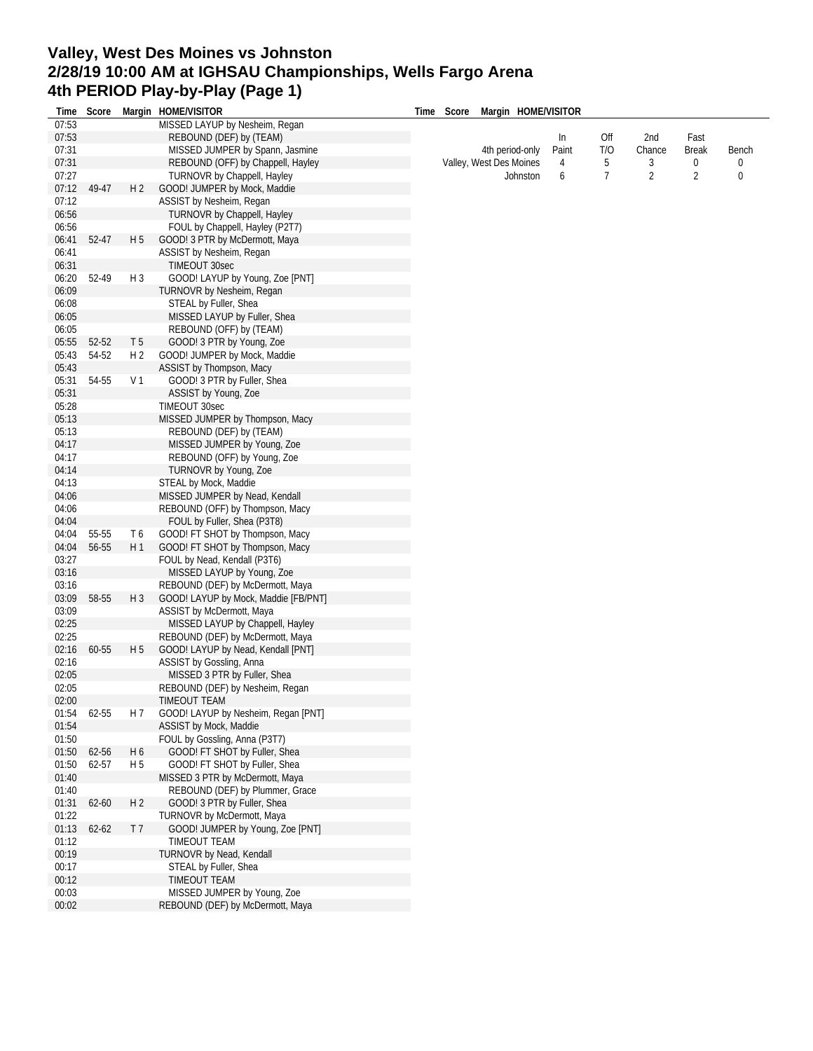#### **Valley, West Des Moines vs Johnston 2/28/19 10:00 AM at IGHSAU Championships, Wells Fargo Arena 4th PERIOD Play-by-Play (Page 1) Time Score Margin HOME/VISITOR**

| Time  |           |                | Score Margin HOME/VISITOR            | Time |  | Score Margin HOME/VISITOR |       |     |                |                |       |
|-------|-----------|----------------|--------------------------------------|------|--|---------------------------|-------|-----|----------------|----------------|-------|
| 07:53 |           |                | MISSED LAYUP by Nesheim, Regan       |      |  |                           |       |     |                |                |       |
| 07:53 |           |                | REBOUND (DEF) by (TEAM)              |      |  |                           | In    | Off | 2nd            | Fast           |       |
| 07:31 |           |                | MISSED JUMPER by Spann, Jasmine      |      |  | 4th period-only           | Paint | T/O | Chance         | <b>Break</b>   | Bench |
| 07:31 |           |                | REBOUND (OFF) by Chappell, Hayley    |      |  | Valley, West Des Moines   | 4     | 5   | 3              | 0              | 0     |
| 07:27 |           |                | <b>TURNOVR by Chappell, Hayley</b>   |      |  | Johnston                  | 6     | 7   | $\overline{2}$ | $\overline{2}$ | 0     |
| 07:12 | 49-47     | H <sub>2</sub> | GOOD! JUMPER by Mock, Maddie         |      |  |                           |       |     |                |                |       |
| 07:12 |           |                | ASSIST by Nesheim, Regan             |      |  |                           |       |     |                |                |       |
| 06:56 |           |                | TURNOVR by Chappell, Hayley          |      |  |                           |       |     |                |                |       |
| 06:56 |           |                | FOUL by Chappell, Hayley (P2T7)      |      |  |                           |       |     |                |                |       |
| 06:41 | 52-47     | H <sub>5</sub> | GOOD! 3 PTR by McDermott, Maya       |      |  |                           |       |     |                |                |       |
| 06:41 |           |                | ASSIST by Nesheim, Regan             |      |  |                           |       |     |                |                |       |
| 06:31 |           |                | <b>TIMEOUT 30sec</b>                 |      |  |                           |       |     |                |                |       |
| 06:20 | 52-49     | H <sub>3</sub> | GOOD! LAYUP by Young, Zoe [PNT]      |      |  |                           |       |     |                |                |       |
| 06:09 |           |                | TURNOVR by Nesheim, Regan            |      |  |                           |       |     |                |                |       |
| 06:08 |           |                | STEAL by Fuller, Shea                |      |  |                           |       |     |                |                |       |
| 06:05 |           |                | MISSED LAYUP by Fuller, Shea         |      |  |                           |       |     |                |                |       |
| 06:05 |           |                | REBOUND (OFF) by (TEAM)              |      |  |                           |       |     |                |                |       |
| 05:55 | 52-52     | T <sub>5</sub> | GOOD! 3 PTR by Young, Zoe            |      |  |                           |       |     |                |                |       |
| 05:43 | 54-52     | H <sub>2</sub> | GOOD! JUMPER by Mock, Maddie         |      |  |                           |       |     |                |                |       |
| 05:43 |           |                | ASSIST by Thompson, Macy             |      |  |                           |       |     |                |                |       |
| 05:31 | 54-55     | V 1            | GOOD! 3 PTR by Fuller, Shea          |      |  |                           |       |     |                |                |       |
| 05:31 |           |                | ASSIST by Young, Zoe                 |      |  |                           |       |     |                |                |       |
| 05:28 |           |                | TIMEOUT 30sec                        |      |  |                           |       |     |                |                |       |
| 05:13 |           |                | MISSED JUMPER by Thompson, Macy      |      |  |                           |       |     |                |                |       |
| 05:13 |           |                | REBOUND (DEF) by (TEAM)              |      |  |                           |       |     |                |                |       |
| 04:17 |           |                | MISSED JUMPER by Young, Zoe          |      |  |                           |       |     |                |                |       |
| 04:17 |           |                | REBOUND (OFF) by Young, Zoe          |      |  |                           |       |     |                |                |       |
| 04:14 |           |                | TURNOVR by Young, Zoe                |      |  |                           |       |     |                |                |       |
| 04:13 |           |                | STEAL by Mock, Maddie                |      |  |                           |       |     |                |                |       |
| 04:06 |           |                | MISSED JUMPER by Nead, Kendall       |      |  |                           |       |     |                |                |       |
| 04:06 |           |                | REBOUND (OFF) by Thompson, Macy      |      |  |                           |       |     |                |                |       |
| 04:04 |           |                | FOUL by Fuller, Shea (P3T8)          |      |  |                           |       |     |                |                |       |
| 04:04 | 55-55     | T6             | GOOD! FT SHOT by Thompson, Macy      |      |  |                           |       |     |                |                |       |
| 04:04 | 56-55     | H1             | GOOD! FT SHOT by Thompson, Macy      |      |  |                           |       |     |                |                |       |
| 03:27 |           |                | FOUL by Nead, Kendall (P3T6)         |      |  |                           |       |     |                |                |       |
| 03:16 |           |                | MISSED LAYUP by Young, Zoe           |      |  |                           |       |     |                |                |       |
| 03:16 |           |                | REBOUND (DEF) by McDermott, Maya     |      |  |                           |       |     |                |                |       |
| 03:09 | 58-55     | H <sub>3</sub> | GOOD! LAYUP by Mock, Maddie [FB/PNT] |      |  |                           |       |     |                |                |       |
| 03:09 |           |                | ASSIST by McDermott, Maya            |      |  |                           |       |     |                |                |       |
| 02:25 |           |                | MISSED LAYUP by Chappell, Hayley     |      |  |                           |       |     |                |                |       |
| 02:25 |           |                | REBOUND (DEF) by McDermott, Maya     |      |  |                           |       |     |                |                |       |
| 02:16 | 60-55     | H 5            | GOOD! LAYUP by Nead, Kendall [PNT]   |      |  |                           |       |     |                |                |       |
| 02:16 |           |                | ASSIST by Gossling, Anna             |      |  |                           |       |     |                |                |       |
| 02:05 |           |                | MISSED 3 PTR by Fuller, Shea         |      |  |                           |       |     |                |                |       |
| 02:05 |           |                | REBOUND (DEF) by Nesheim, Regan      |      |  |                           |       |     |                |                |       |
| 02:00 |           |                | TIMEOUT TEAM                         |      |  |                           |       |     |                |                |       |
| 01:54 | 62-55     | H 7            | GOOD! LAYUP by Nesheim, Regan [PNT]  |      |  |                           |       |     |                |                |       |
| 01:54 |           |                | ASSIST by Mock, Maddie               |      |  |                           |       |     |                |                |       |
| 01:50 |           |                | FOUL by Gossling, Anna (P3T7)        |      |  |                           |       |     |                |                |       |
| 01:50 | 62-56     | H <sub>6</sub> | GOOD! FT SHOT by Fuller, Shea        |      |  |                           |       |     |                |                |       |
| 01:50 | 62-57     | H 5            | GOOD! FT SHOT by Fuller, Shea        |      |  |                           |       |     |                |                |       |
| 01:40 |           |                | MISSED 3 PTR by McDermott, Maya      |      |  |                           |       |     |                |                |       |
| 01:40 |           |                | REBOUND (DEF) by Plummer, Grace      |      |  |                           |       |     |                |                |       |
| 01:31 | 62-60     | H <sub>2</sub> | GOOD! 3 PTR by Fuller, Shea          |      |  |                           |       |     |                |                |       |
| 01:22 |           |                | TURNOVR by McDermott, Maya           |      |  |                           |       |     |                |                |       |
| 01:13 | $62 - 62$ | T 7            | GOOD! JUMPER by Young, Zoe [PNT]     |      |  |                           |       |     |                |                |       |
| 01:12 |           |                | TIMEOUT TEAM                         |      |  |                           |       |     |                |                |       |
| 00:19 |           |                | TURNOVR by Nead, Kendall             |      |  |                           |       |     |                |                |       |
| 00:17 |           |                | STEAL by Fuller, Shea                |      |  |                           |       |     |                |                |       |
| 00:12 |           |                | TIMEOUT TEAM                         |      |  |                           |       |     |                |                |       |
| 00:03 |           |                | MISSED JUMPER by Young, Zoe          |      |  |                           |       |     |                |                |       |
| 00:02 |           |                | REBOUND (DEF) by McDermott, Maya     |      |  |                           |       |     |                |                |       |